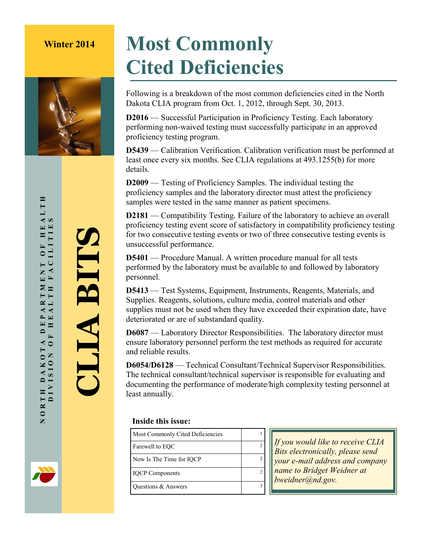

# **Winter 2014 Most Commonly Cited Deficiencies**

Following is a breakdown of the most common deficiencies cited in the North Dakota CLIA program from Oct. 1, 2012, through Sept. 30, 2013.

**D2016** — Successful Participation in Proficiency Testing. Each laboratory performing non-waived testing must successfully participate in an approved proficiency testing program.

**D5439** — Calibration Verification. Calibration verification must be performed at least once every six months. See CLIA regulations at 493.1255(b) for more details.

**D2009** — Testing of Proficiency Samples. The individual testing the proficiency samples and the laboratory director must attest the proficiency samples were tested in the same manner as patient specimens.

**D2181** — Compatibility Testing. Failure of the laboratory to achieve an overall proficiency testing event score of satisfactory in compatibility proficiency testing for two consecutive testing events or two of three consecutive testing events is unsuccessful performance.

**D5401** — Procedure Manual. A written procedure manual for all tests performed by the laboratory must be available to and followed by laboratory personnel.

**D5413** — Test Systems, Equipment, Instruments, Reagents, Materials, and Supplies. Reagents, solutions, culture media, control materials and other supplies must not be used when they have exceeded their expiration date, have deteriorated or are of substandard quality.

**D6087** — Laboratory Director Responsibilities. The laboratory director must ensure laboratory personnel perform the test methods as required for accurate and reliable results.

**D6054/D6128** — Technical Consultant/Technical Supervisor Responsibilities. The technical consultant/technical supervisor is responsible for evaluating and documenting the performance of moderate/high complexity testing personnel at least annually.

#### **Inside this issue:**

| Most Commonly Cited Deficiencies |   |
|----------------------------------|---|
| Farewell to EOC                  | 2 |
| Now Is The Time for IQCP         | 2 |
| <b>IQCP</b> Components           | 2 |
| Questions & Answers              |   |

*If you would like to receive CLIA Bits electronically, please send your e-mail address and company name to Bridget Weidner at bweidner@nd.gov.*

HEALTH<br>TIES МОВТН DAKOTA DEPARTMENT ОF НЕАLТН<br>О DIVISION ОГ НЕАLТН ГАСІІТТЕЯ DIVISION OF HEALTH FACILITIES FACILITIE  $\mathbf{r}$  $\circ$ Z  $\boxed{\mathbf{r}}$ ARTMI<br>ALTH EP.  $\mathbf{D}$  $\overline{r}$  $\triangle$  0 TH DAKOT<br>DIVISION NORTH

**CLIA BITS**

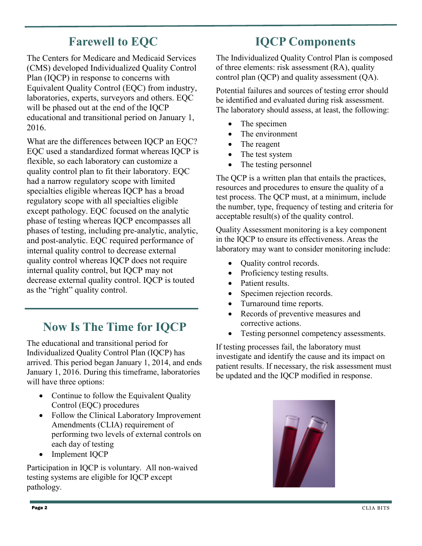### **Farewell to EQC**

The Centers for Medicare and Medicaid Services (CMS) developed Individualized Quality Control Plan (IQCP) in response to concerns with Equivalent Quality Control (EQC) from industry, laboratories, experts, surveyors and others. EQC will be phased out at the end of the IQCP educational and transitional period on January 1, 2016.

What are the differences between IQCP an EQC? EQC used a standardized format whereas IQCP is flexible, so each laboratory can customize a quality control plan to fit their laboratory. EQC had a narrow regulatory scope with limited specialties eligible whereas IQCP has a broad regulatory scope with all specialties eligible except pathology. EQC focused on the analytic phase of testing whereas IQCP encompasses all phases of testing, including pre-analytic, analytic, and post-analytic. EQC required performance of internal quality control to decrease external quality control whereas IQCP does not require internal quality control, but IQCP may not decrease external quality control. IQCP is touted as the "right" quality control.

### **Now Is The Time for IQCP**

The educational and transitional period for Individualized Quality Control Plan (IQCP) has arrived. This period began January 1, 2014, and ends January 1, 2016. During this timeframe, laboratories will have three options:

- Continue to follow the Equivalent Quality Control (EQC) procedures
- Follow the Clinical Laboratory Improvement Amendments (CLIA) requirement of performing two levels of external controls on each day of testing
- Implement IQCP

Participation in IQCP is voluntary. All non-waived testing systems are eligible for IQCP except pathology.

#### **IQCP Components**

The Individualized Quality Control Plan is composed of three elements: risk assessment (RA), quality control plan (QCP) and quality assessment (QA).

Potential failures and sources of testing error should be identified and evaluated during risk assessment. The laboratory should assess, at least, the following:

- The specimen
- The environment
- The reagent
- The test system
- The testing personnel

The QCP is a written plan that entails the practices, resources and procedures to ensure the quality of a test process. The QCP must, at a minimum, include the number, type, frequency of testing and criteria for acceptable result(s) of the quality control.

Quality Assessment monitoring is a key component in the IQCP to ensure its effectiveness. Areas the laboratory may want to consider monitoring include:

- Quality control records.
- Proficiency testing results.
- Patient results.
- Specimen rejection records.
- Turnaround time reports.
- Records of preventive measures and corrective actions.
- Testing personnel competency assessments.

If testing processes fail, the laboratory must investigate and identify the cause and its impact on patient results. If necessary, the risk assessment must be updated and the IQCP modified in response.